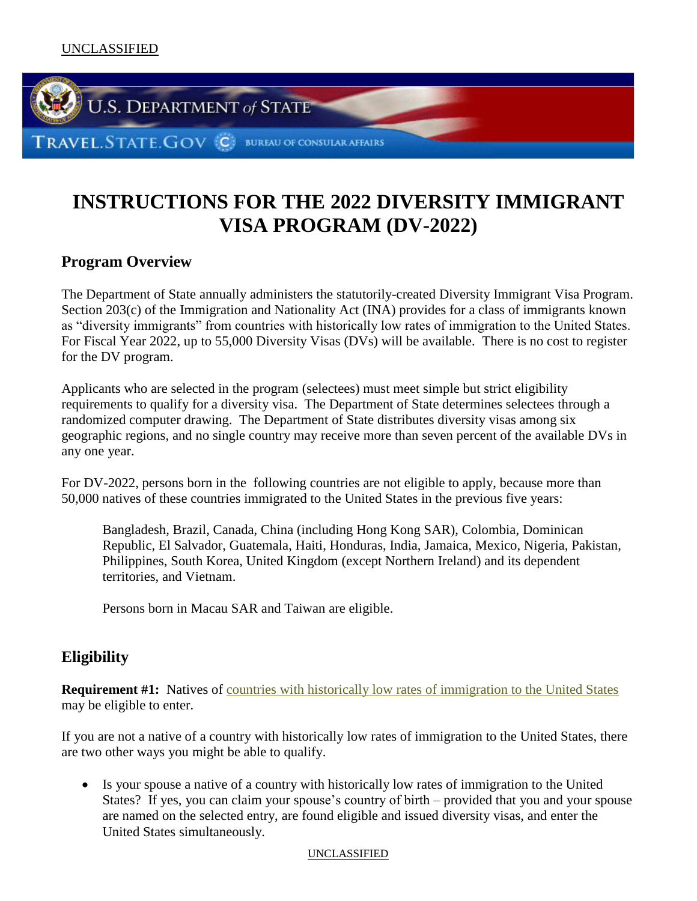

# **INSTRUCTIONS FOR THE 2022 DIVERSITY IMMIGRANT VISA PROGRAM (DV-2022)**

## **Program Overview**

The Department of State annually administers the statutorily-created Diversity Immigrant Visa Program. Section 203(c) of the Immigration and Nationality Act (INA) provides for a class of immigrants known as "diversity immigrants" from countries with historically low rates of immigration to the United States. For Fiscal Year 2022, up to 55,000 Diversity Visas (DVs) will be available. There is no cost to register for the DV program.

Applicants who are selected in the program (selectees) must meet simple but strict eligibility requirements to qualify for a diversity visa. The Department of State determines selectees through a randomized computer drawing. The Department of State distributes diversity visas among six geographic regions, and no single country may receive more than seven percent of the available DVs in any one year.

For DV-2022, persons born in the following countries are not eligible to apply, because more than 50,000 natives of these countries immigrated to the United States in the previous five years:

Bangladesh, Brazil, Canada, China (including Hong Kong SAR), Colombia, Dominican Republic, El Salvador, Guatemala, Haiti, Honduras, India, Jamaica, Mexico, Nigeria, Pakistan, Philippines, South Korea, United Kingdom (except Northern Ireland) and its dependent territories, and Vietnam.

Persons born in Macau SAR and Taiwan are eligible.

## **Eligibility**

**Requirement #1:** Natives of [countries with historically low rates of immigration to the United States](#page-17-0) may be eligible to enter.

If you are not a native of a country with historically low rates of immigration to the United States, there are two other ways you might be able to qualify.

 Is your spouse a native of a country with historically low rates of immigration to the United States? If yes, you can claim your spouse's country of birth – provided that you and your spouse are named on the selected entry, are found eligible and issued diversity visas, and enter the United States simultaneously.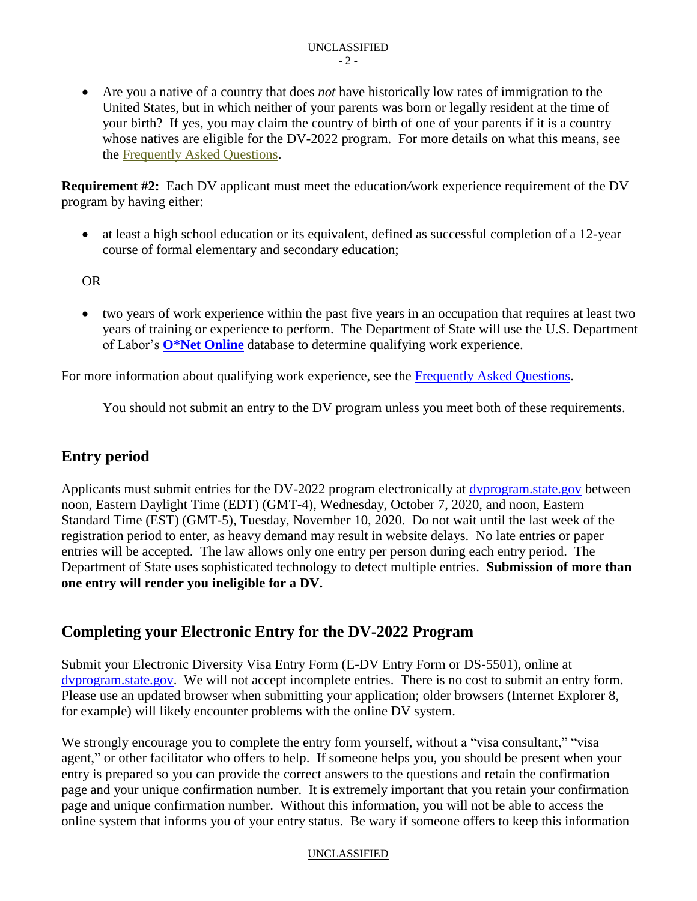Are you a native of a country that does *not* have historically low rates of immigration to the United States, but in which neither of your parents was born or legally resident at the time of your birth? If yes, you may claim the country of birth of one of your parents if it is a country whose natives are eligible for the DV-2022 program. For more details on what this means, see the [Frequently Asked Questions.](#page-8-0)

**Requirement #2:** Each DV applicant must meet the education*/*work experience requirement of the DV program by having either:

• at least a high school education or its equivalent, defined as successful completion of a 12-year course of formal elementary and secondary education;

OR

 two years of work experience within the past five years in an occupation that requires at least two years of training or experience to perform. The Department of State will use the U.S. Department of Labor's **[O\\*Net Online](http://online.onetcenter.org/)** database to determine qualifying work experience.

For more information about qualifying work experience, see the [Frequently Asked Questions.](#page-9-0)

You should not submit an entry to the DV program unless you meet both of these requirements.

## **Entry period**

Applicants must submit entries for the DV-2022 program electronically at [dvprogram.state.gov](https://www.dvlottery.state.gov/) between noon, Eastern Daylight Time (EDT) (GMT-4), Wednesday, October 7, 2020, and noon, Eastern Standard Time (EST) (GMT-5), Tuesday, November 10, 2020. Do not wait until the last week of the registration period to enter, as heavy demand may result in website delays. No late entries or paper entries will be accepted. The law allows only one entry per person during each entry period. The Department of State uses sophisticated technology to detect multiple entries. **Submission of more than one entry will render you ineligible for a DV.**

## **Completing your Electronic Entry for the DV-2022 Program**

Submit your Electronic Diversity Visa Entry Form (E-DV Entry Form or DS-5501), online at [dvprogram.state.gov.](https://www.dvlottery.state.gov/) We will not accept incomplete entries. There is no cost to submit an entry form. Please use an updated browser when submitting your application; older browsers (Internet Explorer 8, for example) will likely encounter problems with the online DV system.

We strongly encourage you to complete the entry form yourself, without a "visa consultant," "visa" agent," or other facilitator who offers to help. If someone helps you, you should be present when your entry is prepared so you can provide the correct answers to the questions and retain the confirmation page and your unique confirmation number. It is extremely important that you retain your confirmation page and unique confirmation number. Without this information, you will not be able to access the online system that informs you of your entry status. Be wary if someone offers to keep this information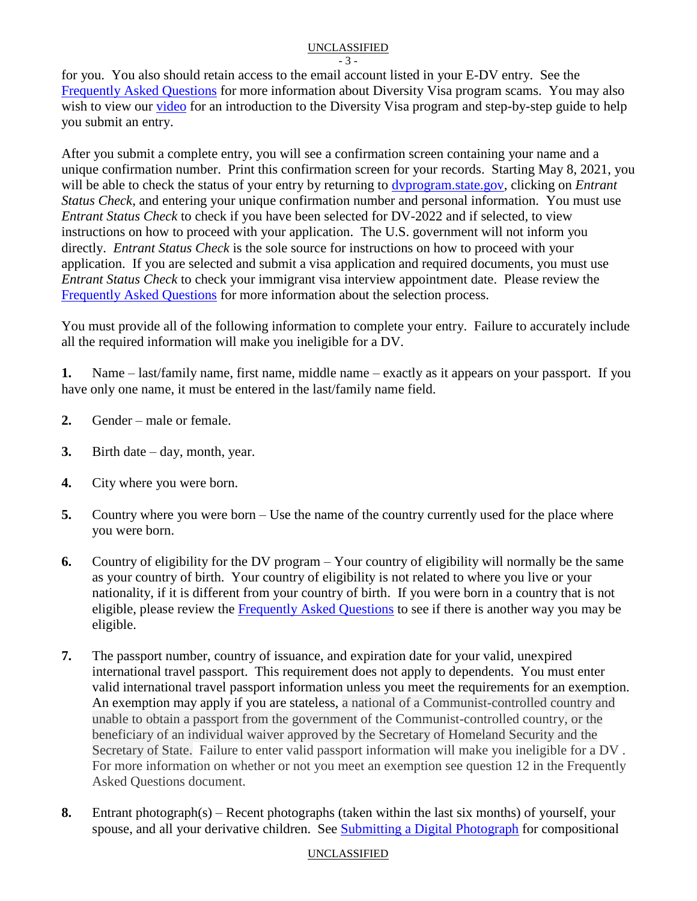for you. You also should retain access to the email account listed in your E-DV entry. See the [Frequently Asked Questions](#page-15-0) for more information about Diversity Visa program scams. You may also wish to view our [video](https://www.youtube.com/watch?v=tOQlh2d2EbQ) for an introduction to the Diversity Visa program and step-by-step guide to help you submit an entry.

After you submit a complete entry, you will see a confirmation screen containing your name and a unique confirmation number. Print this confirmation screen for your records. Starting May 8, 2021, you will be able to check the status of your entry by returning to [dvprogram.state.gov,](https://www.dvlottery.state.gov/) clicking on *Entrant Status Check*, and entering your unique confirmation number and personal information. You must use *Entrant Status Check* to check if you have been selected for DV-2022 and if selected, to view instructions on how to proceed with your application. The U.S. government will not inform you directly. *Entrant Status Check* is the sole source for instructions on how to proceed with your application. If you are selected and submit a visa application and required documents, you must use *Entrant Status Check* to check your immigrant visa interview appointment date. Please review the [Frequently Asked Questions](#page-12-0) for more information about the selection process.

You must provide all of the following information to complete your entry. Failure to accurately include all the required information will make you ineligible for a DV.

**1.** Name – last/family name, first name, middle name – exactly as it appears on your passport. If you have only one name, it must be entered in the last/family name field.

- **2.** Gender male or female.
- **3.** Birth date day, month, year.
- **4.** City where you were born.
- **5.** Country where you were born Use the name of the country currently used for the place where you were born.
- **6.** Country of eligibility for the DV program Your country of eligibility will normally be the same as your country of birth. Your country of eligibility is not related to where you live or your nationality, if it is different from your country of birth. If you were born in a country that is not eligible, please review the [Frequently Asked Questions](#page-8-1) to see if there is another way you may be eligible.
- **7.** The passport number, country of issuance, and expiration date for your valid, unexpired international travel passport. This requirement does not apply to dependents. You must enter valid international travel passport information unless you meet the requirements for an exemption. An exemption may apply if you are stateless, a national of a Communist-controlled country and unable to obtain a passport from the government of the Communist-controlled country, or the beneficiary of an individual waiver approved by the Secretary of Homeland Security and the Secretary of State. Failure to enter valid passport information will make you ineligible for a DV . For more information on whether or not you meet an exemption see question 12 in the Frequently Asked Questions document.
- **8.** Entrant photograph(s) Recent photographs (taken within the last six months) of yourself, your spouse, and all your derivative children. See [Submitting a Digital Photograph](#page-5-0) for compositional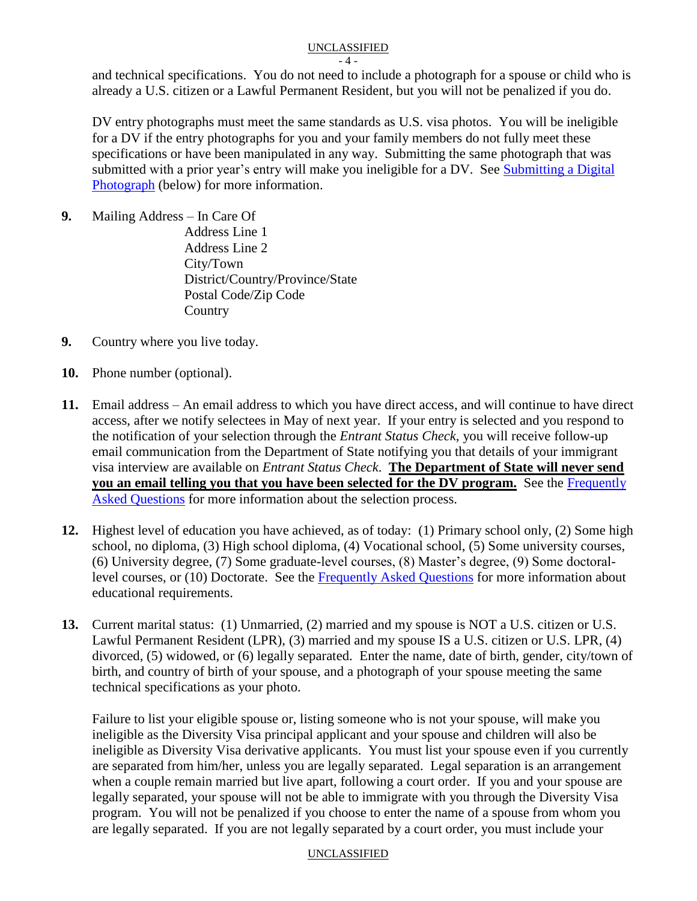$-4-$ 

and technical specifications. You do not need to include a photograph for a spouse or child who is already a U.S. citizen or a Lawful Permanent Resident, but you will not be penalized if you do.

DV entry photographs must meet the same standards as U.S. visa photos. You will be ineligible for a DV if the entry photographs for you and your family members do not fully meet these specifications or have been manipulated in any way. Submitting the same photograph that was submitted with a prior year's entry will make you ineligible for a DV. See Submitting a Digital [Photograph](#page-5-0) (below) for more information.

**9.** Mailing Address – In Care Of Address Line 1

Address Line 2 City/Town District/Country/Province/State Postal Code/Zip Code **Country** 

- **9.** Country where you live today.
- **10.** Phone number (optional).
- **11.** Email address An email address to which you have direct access, and will continue to have direct access, after we notify selectees in May of next year. If your entry is selected and you respond to the notification of your selection through the *Entrant Status Check*, you will receive follow-up email communication from the Department of State notifying you that details of your immigrant visa interview are available on *Entrant Status Check*. **The Department of State will never send you an email telling you that you have been selected for the DV program.** See the [Frequently](#page-12-0)  [Asked Questions](#page-12-0) for more information about the selection process.
- **12.** Highest level of education you have achieved, as of today: (1) Primary school only, (2) Some high school, no diploma, (3) High school diploma, (4) Vocational school, (5) Some university courses, (6) University degree, (7) Some graduate-level courses, (8) Master's degree, (9) Some doctorallevel courses, or (10) Doctorate. See the [Frequently Asked Questions](#page-9-0) for more information about educational requirements.
- **13.** Current marital status: (1) Unmarried, (2) married and my spouse is NOT a U.S. citizen or U.S. Lawful Permanent Resident (LPR), (3) married and my spouse IS a U.S. citizen or U.S. LPR, (4) divorced, (5) widowed, or (6) legally separated. Enter the name, date of birth, gender, city/town of birth, and country of birth of your spouse, and a photograph of your spouse meeting the same technical specifications as your photo.

Failure to list your eligible spouse or, listing someone who is not your spouse, will make you ineligible as the Diversity Visa principal applicant and your spouse and children will also be ineligible as Diversity Visa derivative applicants. You must list your spouse even if you currently are separated from him/her, unless you are legally separated. Legal separation is an arrangement when a couple remain married but live apart, following a court order. If you and your spouse are legally separated, your spouse will not be able to immigrate with you through the Diversity Visa program. You will not be penalized if you choose to enter the name of a spouse from whom you are legally separated. If you are not legally separated by a court order, you must include your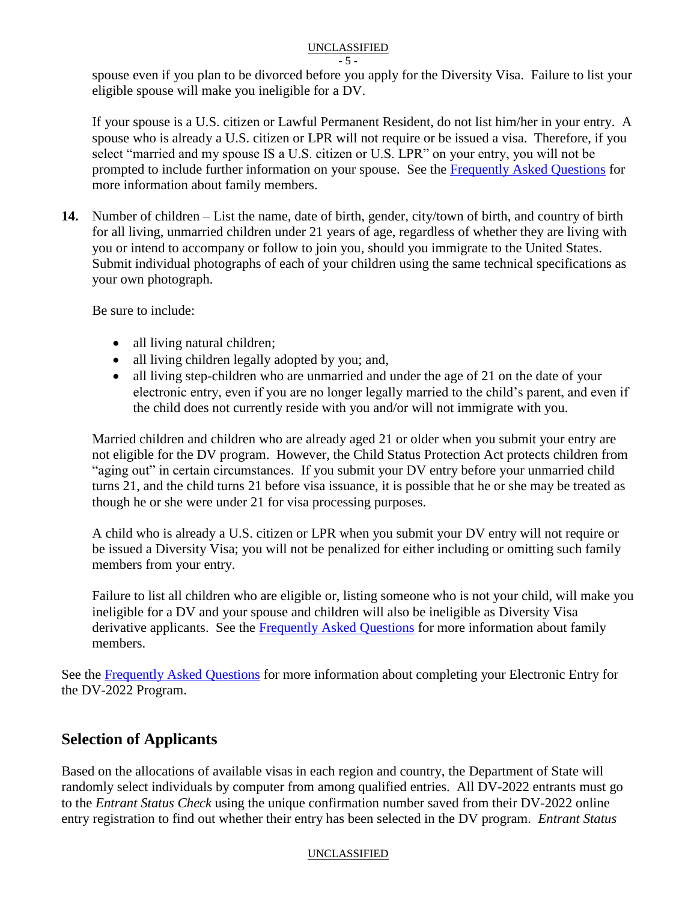- 5 -

spouse even if you plan to be divorced before you apply for the Diversity Visa. Failure to list your eligible spouse will make you ineligible for a DV.

If your spouse is a U.S. citizen or Lawful Permanent Resident, do not list him/her in your entry. A spouse who is already a U.S. citizen or LPR will not require or be issued a visa. Therefore, if you select "married and my spouse IS a U.S. citizen or U.S. LPR" on your entry, you will not be prompted to include further information on your spouse. See the [Frequently Asked Questions](#page-11-0) for more information about family members.

**14.** Number of children – List the name, date of birth, gender, city/town of birth, and country of birth for all living, unmarried children under 21 years of age, regardless of whether they are living with you or intend to accompany or follow to join you, should you immigrate to the United States. Submit individual photographs of each of your children using the same technical specifications as your own photograph.

Be sure to include:

- all living natural children;
- all living children legally adopted by you; and,
- all living step-children who are unmarried and under the age of 21 on the date of your electronic entry, even if you are no longer legally married to the child's parent, and even if the child does not currently reside with you and/or will not immigrate with you.

Married children and children who are already aged 21 or older when you submit your entry are not eligible for the DV program. However, the Child Status Protection Act protects children from "aging out" in certain circumstances. If you submit your DV entry before your unmarried child turns 21, and the child turns 21 before visa issuance, it is possible that he or she may be treated as though he or she were under 21 for visa processing purposes.

A child who is already a U.S. citizen or LPR when you submit your DV entry will not require or be issued a Diversity Visa; you will not be penalized for either including or omitting such family members from your entry.

Failure to list all children who are eligible or, listing someone who is not your child, will make you ineligible for a DV and your spouse and children will also be ineligible as Diversity Visa derivative applicants. See the [Frequently Asked Questions](#page-11-0) for more information about family members.

See the [Frequently Asked Questions](#page-9-1) for more information about completing your Electronic Entry for the DV-2022 Program.

## **Selection of Applicants**

Based on the allocations of available visas in each region and country, the Department of State will randomly select individuals by computer from among qualified entries. All DV-2022 entrants must go to the *Entrant Status Check* using the unique confirmation number saved from their DV-2022 online entry registration to find out whether their entry has been selected in the DV program. *Entrant Status*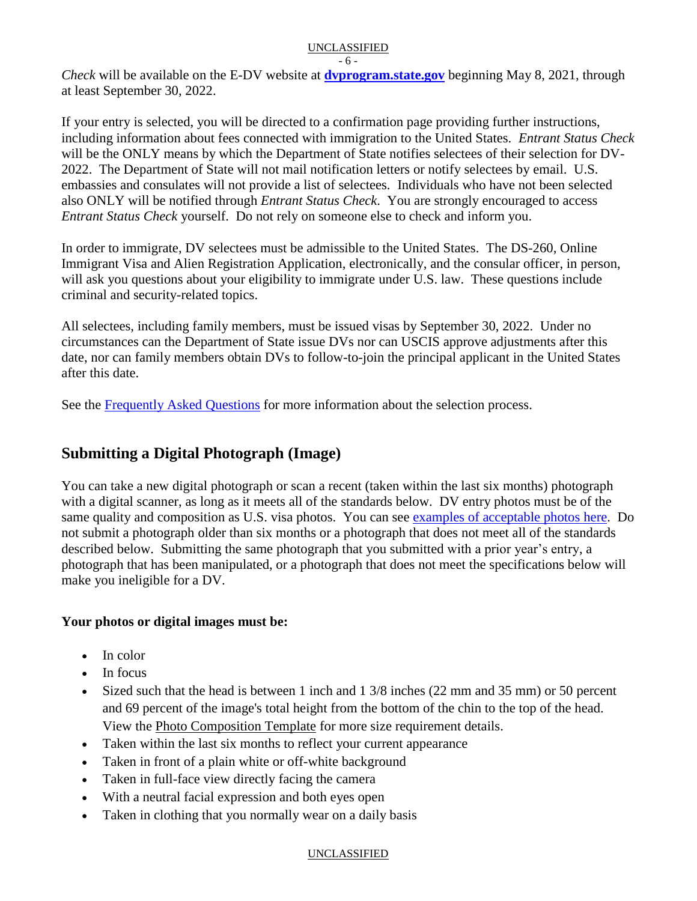- 6 -

*Check* will be available on the E-DV website at **[dvprogram.state.gov](http://dvlottery.state.gov/)** beginning May 8, 2021, through at least September 30, 2022.

If your entry is selected, you will be directed to a confirmation page providing further instructions, including information about fees connected with immigration to the United States. *Entrant Status Check* will be the ONLY means by which the Department of State notifies selectees of their selection for DV-2022. The Department of State will not mail notification letters or notify selectees by email. U.S. embassies and consulates will not provide a list of selectees. Individuals who have not been selected also ONLY will be notified through *Entrant Status Check*. You are strongly encouraged to access *Entrant Status Check* yourself. Do not rely on someone else to check and inform you.

In order to immigrate, DV selectees must be admissible to the United States. The DS-260, Online Immigrant Visa and Alien Registration Application, electronically, and the consular officer, in person, will ask you questions about your eligibility to immigrate under U.S. law. These questions include criminal and security-related topics.

All selectees, including family members, must be issued visas by September 30, 2022. Under no circumstances can the Department of State issue DVs nor can USCIS approve adjustments after this date, nor can family members obtain DVs to follow-to-join the principal applicant in the United States after this date.

See the [Frequently Asked Questions](#page-12-0) for more information about the selection process.

## <span id="page-5-0"></span>**Submitting a Digital Photograph (Image)**

You can take a new digital photograph or scan a recent (taken within the last six months) photograph with a digital scanner, as long as it meets all of the standards below. DV entry photos must be of the same quality and composition as U.S. visa photos. You can see [examples of acceptable photos here.](https://travel.state.gov/content/travel/en/us-visas/visa-information-resources/photos/photo-examples.html) Do not submit a photograph older than six months or a photograph that does not meet all of the standards described below. Submitting the same photograph that you submitted with a prior year's entry, a photograph that has been manipulated, or a photograph that does not meet the specifications below will make you ineligible for a DV.

## **Your photos or digital images must be:**

- In color
- In focus
- Sized such that the head is between 1 inch and 1 3/8 inches (22 mm and 35 mm) or 50 percent and 69 percent of the image's total height from the bottom of the chin to the top of the head. View the [Photo Composition Template](https://travel.state.gov/content/travel/en/us-visas/visa-information-resources/photos/photo-composition-template.html) for more size requirement details.
- Taken within the last six months to reflect your current appearance
- Taken in front of a plain white or off-white background
- Taken in full-face view directly facing the camera
- With a neutral facial expression and both eyes open
- Taken in clothing that you normally wear on a daily basis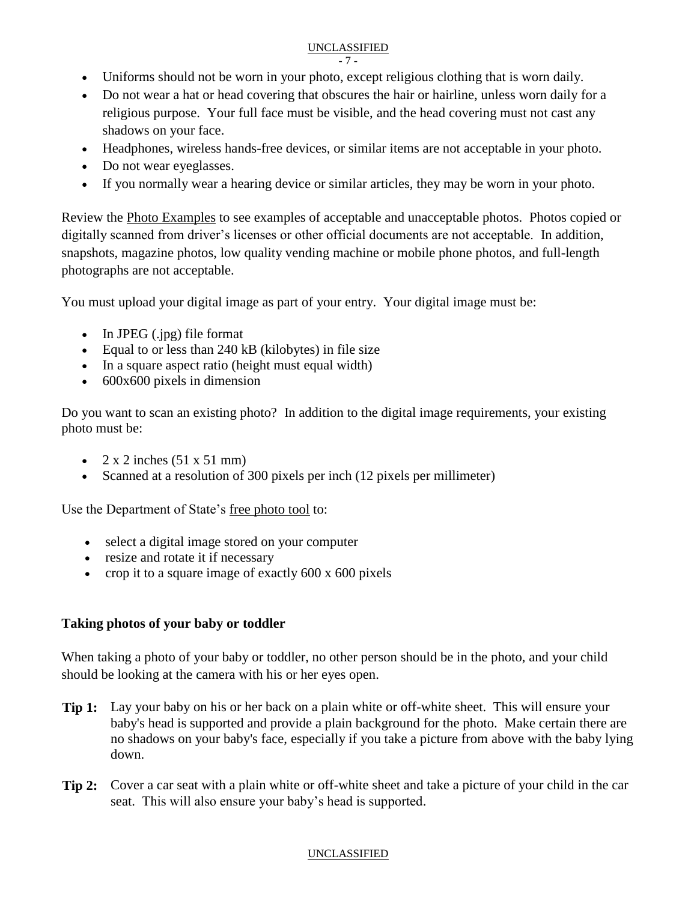- 7 -

- Uniforms should not be worn in your photo, except religious clothing that is worn daily.
- Do not wear a hat or head covering that obscures the hair or hairline, unless worn daily for a religious purpose. Your full face must be visible, and the head covering must not cast any shadows on your face.
- Headphones, wireless hands-free devices, or similar items are not acceptable in your photo.
- Do not wear eyeglasses.
- If you normally wear a hearing device or similar articles, they may be worn in your photo.

Review the [Photo Examples](https://travel.state.gov/content/travel/en/us-visas/visa-information-resources/photos/photo-examples.html) to see examples of acceptable and unacceptable photos. Photos copied or digitally scanned from driver's licenses or other official documents are not acceptable. In addition, snapshots, magazine photos, low quality vending machine or mobile phone photos, and full-length photographs are not acceptable.

You must upload your digital image as part of your entry. Your digital image must be:

- $\bullet$  In JPEG (.jpg) file format
- Equal to or less than 240 kB (kilobytes) in file size
- In a square aspect ratio (height must equal width)
- 600x600 pixels in dimension

Do you want to scan an existing photo? In addition to the digital image requirements, your existing photo must be:

- $\bullet$  2 x 2 inches (51 x 51 mm)
- Scanned at a resolution of 300 pixels per inch (12 pixels per millimeter)

Use the Department of State's [free photo tool](https://travel.state.gov/content/dam/passports/content-page-resources/FIG_cropper.swf) to:

- select a digital image stored on your computer
- resize and rotate it if necessary
- crop it to a square image of exactly  $600 \times 600$  pixels

## **Taking photos of your baby or toddler**

When taking a photo of your baby or toddler, no other person should be in the photo, and your child should be looking at the camera with his or her eyes open.

- **Tip 1:** Lay your baby on his or her back on a plain white or off-white sheet. This will ensure your baby's head is supported and provide a plain background for the photo. Make certain there are no shadows on your baby's face, especially if you take a picture from above with the baby lying down.
- **Tip 2:** Cover a car seat with a plain white or off-white sheet and take a picture of your child in the car seat. This will also ensure your baby's head is supported.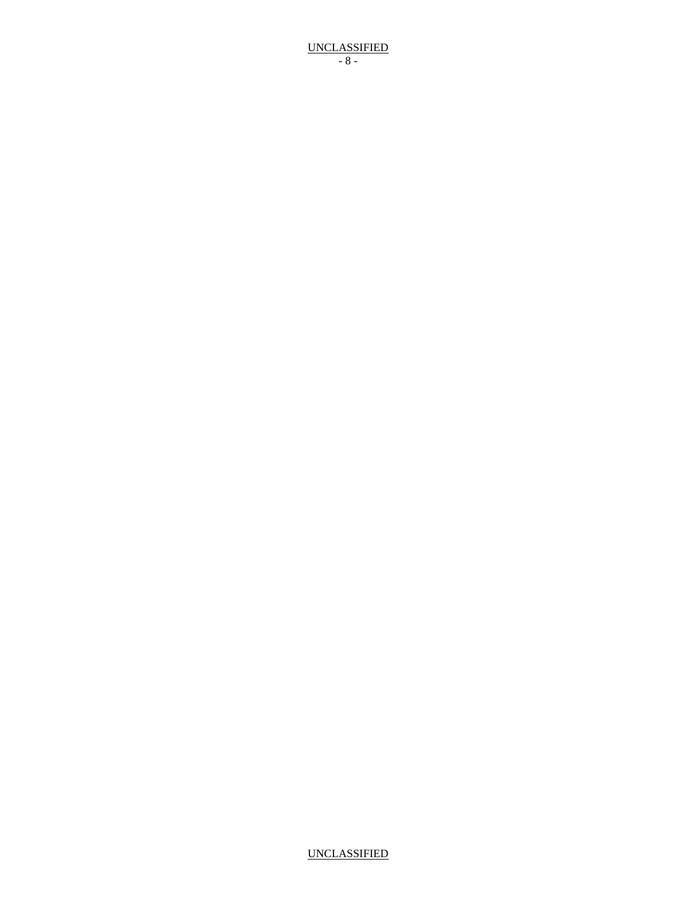### UNCLASSIFIED - 8 -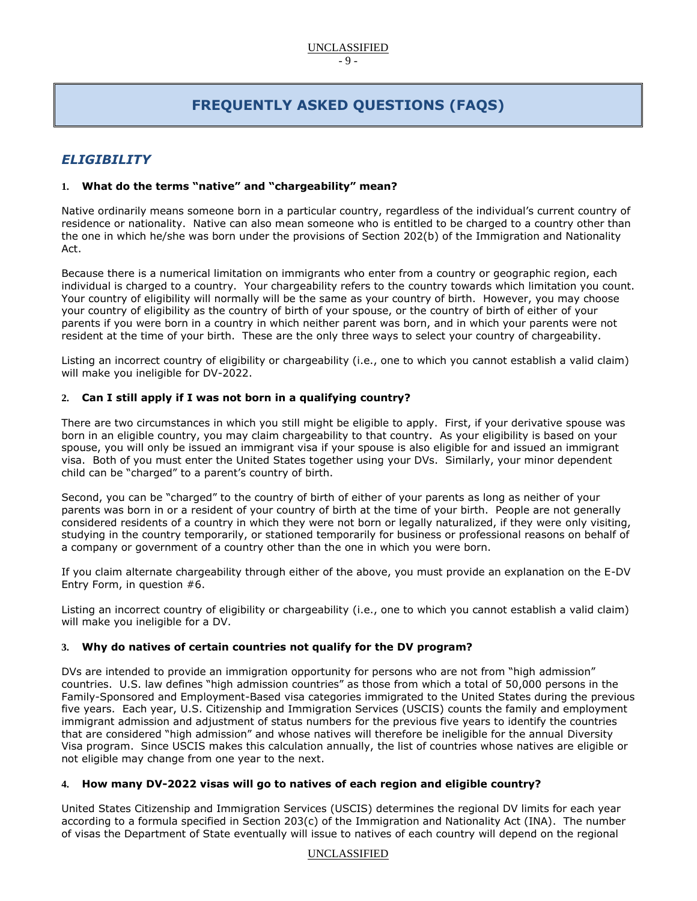## **FREQUENTLY ASKED QUESTIONS (FAQS)**

## <span id="page-8-0"></span>*ELIGIBILITY*

#### **1. What do the terms "native" and "chargeability" mean?**

Native ordinarily means someone born in a particular country, regardless of the individual's current country of residence or nationality. Native can also mean someone who is entitled to be charged to a country other than the one in which he/she was born under the provisions of Section 202(b) of the Immigration and Nationality Act.

Because there is a numerical limitation on immigrants who enter from a country or geographic region, each individual is charged to a country. Your chargeability refers to the country towards which limitation you count. Your country of eligibility will normally will be the same as your country of birth. However, you may choose your country of eligibility as the country of birth of your spouse, or the country of birth of either of your parents if you were born in a country in which neither parent was born, and in which your parents were not resident at the time of your birth. These are the only three ways to select your country of chargeability.

Listing an incorrect country of eligibility or chargeability (i.e., one to which you cannot establish a valid claim) will make you ineligible for DV-2022.

#### <span id="page-8-1"></span>**2. Can I still apply if I was not born in a qualifying country?**

There are two circumstances in which you still might be eligible to apply. First, if your derivative spouse was born in an eligible country, you may claim chargeability to that country. As your eligibility is based on your spouse, you will only be issued an immigrant visa if your spouse is also eligible for and issued an immigrant visa. Both of you must enter the United States together using your DVs. Similarly, your minor dependent child can be "charged" to a parent's country of birth.

Second, you can be "charged" to the country of birth of either of your parents as long as neither of your parents was born in or a resident of your country of birth at the time of your birth. People are not generally considered residents of a country in which they were not born or legally naturalized, if they were only visiting, studying in the country temporarily, or stationed temporarily for business or professional reasons on behalf of a company or government of a country other than the one in which you were born.

If you claim alternate chargeability through either of the above, you must provide an explanation on the E-DV Entry Form, in question #6.

Listing an incorrect country of eligibility or chargeability (i.e., one to which you cannot establish a valid claim) will make you ineligible for a DV.

#### **3. Why do natives of certain countries not qualify for the DV program?**

DVs are intended to provide an immigration opportunity for persons who are not from "high admission" countries. U.S. law defines "high admission countries" as those from which a total of 50,000 persons in the Family-Sponsored and Employment-Based visa categories immigrated to the United States during the previous five years. Each year, U.S. Citizenship and Immigration Services (USCIS) counts the family and employment immigrant admission and adjustment of status numbers for the previous five years to identify the countries that are considered "high admission" and whose natives will therefore be ineligible for the annual Diversity Visa program. Since USCIS makes this calculation annually, the list of countries whose natives are eligible or not eligible may change from one year to the next.

#### **4. How many DV-2022 visas will go to natives of each region and eligible country?**

United States Citizenship and Immigration Services (USCIS) determines the regional DV limits for each year according to a formula specified in Section 203(c) of the Immigration and Nationality Act (INA). The number of visas the Department of State eventually will issue to natives of each country will depend on the regional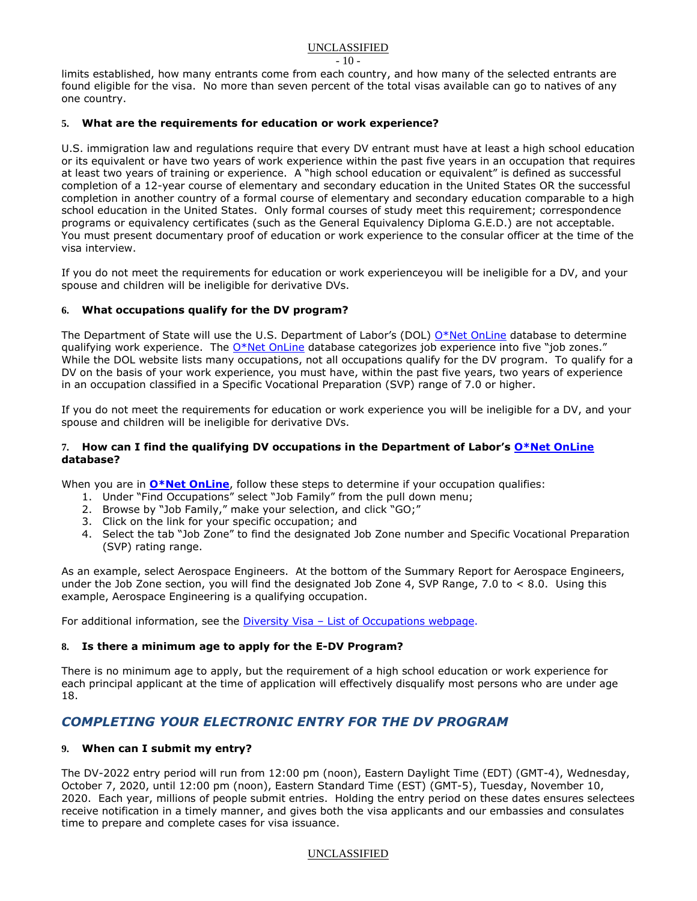#### $-10-$

limits established, how many entrants come from each country, and how many of the selected entrants are found eligible for the visa. No more than seven percent of the total visas available can go to natives of any one country.

#### <span id="page-9-0"></span>**5. What are the requirements for education or work experience?**

U.S. immigration law and regulations require that every DV entrant must have at least a high school education or its equivalent or have two years of work experience within the past five years in an occupation that requires at least two years of training or experience. A "high school education or equivalent" is defined as successful completion of a 12-year course of elementary and secondary education in the United States OR the successful completion in another country of a formal course of elementary and secondary education comparable to a high school education in the United States. Only formal courses of study meet this requirement; correspondence programs or equivalency certificates (such as the General Equivalency Diploma G.E.D.) are not acceptable. You must present documentary proof of education or work experience to the consular officer at the time of the visa interview.

If you do not meet the requirements for education or work experienceyou will be ineligible for a DV, and your spouse and children will be ineligible for derivative DVs.

#### **6. What occupations qualify for the DV program?**

The Department of State will use the U.S. Department of Labor's (DOL) [O\\*Net OnLine](http://online.onetcenter.org/) database to determine qualifying work experience. The [O\\*Net OnLine](http://online.onetcenter.org/) database categorizes job experience into five "job zones." While the DOL website lists many occupations, not all occupations qualify for the DV program. To qualify for a DV on the basis of your work experience, you must have, within the past five years, two years of experience in an occupation classified in a Specific Vocational Preparation (SVP) range of 7.0 or higher.

If you do not meet the requirements for education or work experience you will be ineligible for a DV, and your spouse and children will be ineligible for derivative DVs.

#### **7. How can I find the qualifying DV occupations in the Department of Labor's [O\\*Net OnLine](http://online.onetcenter.org/) database?**

When you are in **[O\\*Net OnLine](http://online.onetcenter.org/)**, follow these steps to determine if your occupation qualifies:

- 1. Under "Find Occupations" select "Job Family" from the pull down menu;
- 2. Browse by "Job Family," make your selection, and click "GO;"
- 3. Click on the link for your specific occupation; and
- 4. Select the tab "Job Zone" to find the designated Job Zone number and Specific Vocational Preparation (SVP) rating range.

As an example, select Aerospace Engineers. At the bottom of the Summary Report for Aerospace Engineers, under the Job Zone section, you will find the designated Job Zone 4, SVP Range, 7.0 to < 8.0. Using this example, Aerospace Engineering is a qualifying occupation.

For additional information, see the Diversity Visa - [List of Occupations webpage.](http://travel.state.gov/content/visas/english/immigrate/diversity-visa/if-you-are-selected/confirm-your-qualifications.html)

#### **8. Is there a minimum age to apply for the E-DV Program?**

There is no minimum age to apply, but the requirement of a high school education or work experience for each principal applicant at the time of application will effectively disqualify most persons who are under age 18.

### <span id="page-9-1"></span>*COMPLETING YOUR ELECTRONIC ENTRY FOR THE DV PROGRAM*

#### **9. When can I submit my entry?**

The DV-2022 entry period will run from 12:00 pm (noon), Eastern Daylight Time (EDT) (GMT-4), Wednesday, October 7, 2020, until 12:00 pm (noon), Eastern Standard Time (EST) (GMT-5), Tuesday, November 10, 2020. Each year, millions of people submit entries. Holding the entry period on these dates ensures selectees receive notification in a timely manner, and gives both the visa applicants and our embassies and consulates time to prepare and complete cases for visa issuance.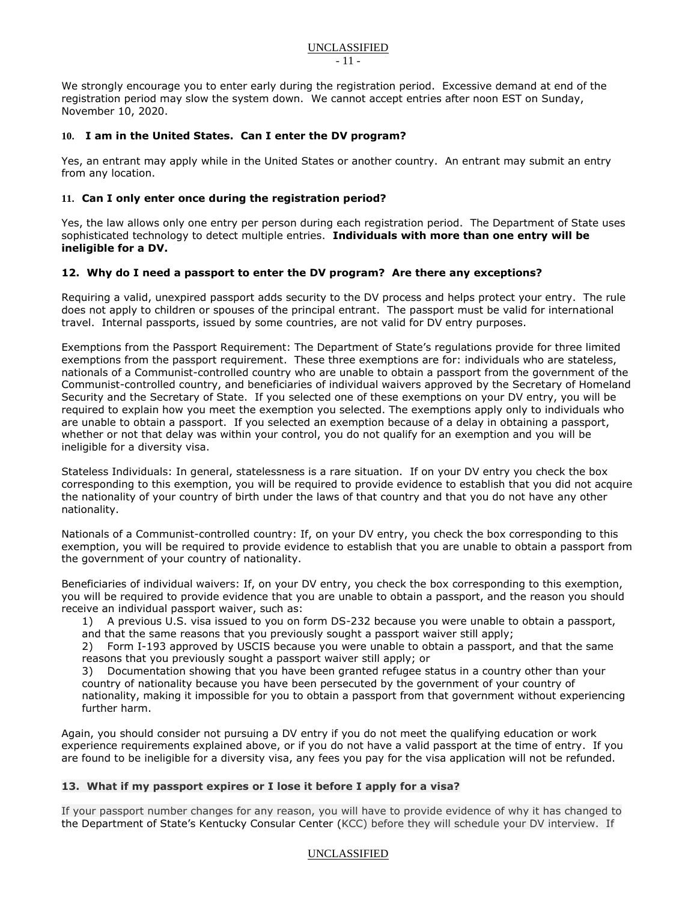We strongly encourage you to enter early during the registration period. Excessive demand at end of the registration period may slow the system down. We cannot accept entries after noon EST on Sunday, November 10, 2020.

#### **10. I am in the United States. Can I enter the DV program?**

Yes, an entrant may apply while in the United States or another country. An entrant may submit an entry from any location.

#### **11. Can I only enter once during the registration period?**

Yes, the law allows only one entry per person during each registration period. The Department of State uses sophisticated technology to detect multiple entries. **Individuals with more than one entry will be ineligible for a DV.** 

#### **12. Why do I need a passport to enter the DV program? Are there any exceptions?**

Requiring a valid, unexpired passport adds security to the DV process and helps protect your entry. The rule does not apply to children or spouses of the principal entrant. The passport must be valid for international travel. Internal passports, issued by some countries, are not valid for DV entry purposes.

Exemptions from the Passport Requirement: The Department of State's regulations provide for three limited exemptions from the passport requirement. These three exemptions are for: individuals who are stateless, nationals of a Communist-controlled country who are unable to obtain a passport from the government of the Communist-controlled country, and beneficiaries of individual waivers approved by the Secretary of Homeland Security and the Secretary of State. If you selected one of these exemptions on your DV entry, you will be required to explain how you meet the exemption you selected. The exemptions apply only to individuals who are unable to obtain a passport. If you selected an exemption because of a delay in obtaining a passport, whether or not that delay was within your control, you do not qualify for an exemption and you will be ineligible for a diversity visa.

Stateless Individuals: In general, statelessness is a rare situation. If on your DV entry you check the box corresponding to this exemption, you will be required to provide evidence to establish that you did not acquire the nationality of your country of birth under the laws of that country and that you do not have any other nationality.

Nationals of a Communist-controlled country: If, on your DV entry, you check the box corresponding to this exemption, you will be required to provide evidence to establish that you are unable to obtain a passport from the government of your country of nationality.

Beneficiaries of individual waivers: If, on your DV entry, you check the box corresponding to this exemption, you will be required to provide evidence that you are unable to obtain a passport, and the reason you should receive an individual passport waiver, such as:

1) A previous U.S. visa issued to you on form DS-232 because you were unable to obtain a passport, and that the same reasons that you previously sought a passport waiver still apply;

2) Form I-193 approved by USCIS because you were unable to obtain a passport, and that the same reasons that you previously sought a passport waiver still apply; or

3) Documentation showing that you have been granted refugee status in a country other than your country of nationality because you have been persecuted by the government of your country of nationality, making it impossible for you to obtain a passport from that government without experiencing further harm.

Again, you should consider not pursuing a DV entry if you do not meet the qualifying education or work experience requirements explained above, or if you do not have a valid passport at the time of entry. If you are found to be ineligible for a diversity visa, any fees you pay for the visa application will not be refunded.

#### **13. What if my passport expires or I lose it before I apply for a visa?**

If your passport number changes for any reason, you will have to provide evidence of why it has changed to the Department of State's Kentucky Consular Center (KCC) before they will schedule your DV interview. If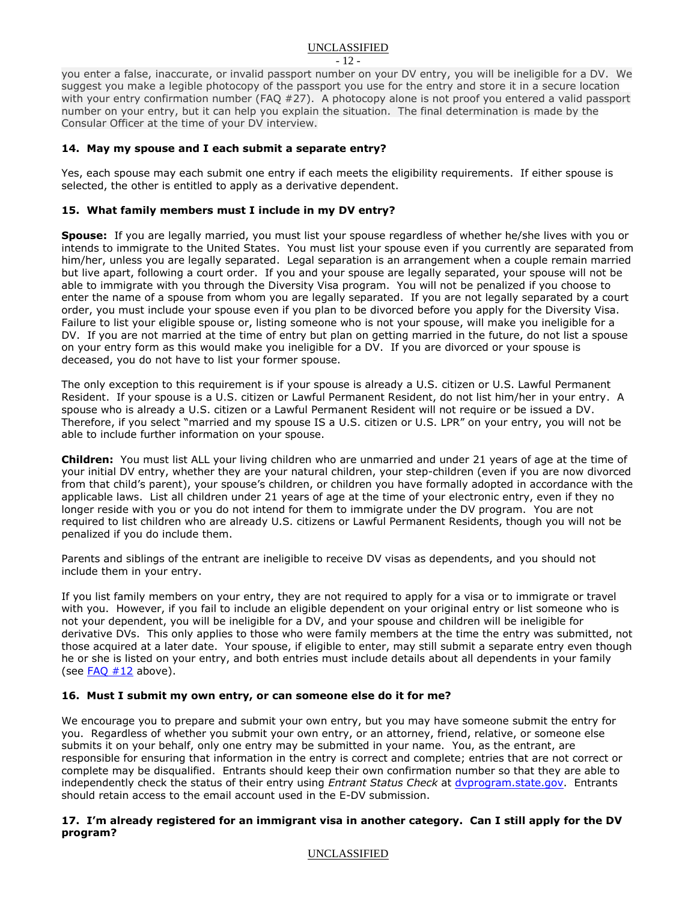$-12 -$ 

you enter a false, inaccurate, or invalid passport number on your DV entry, you will be ineligible for a DV. We suggest you make a legible photocopy of the passport you use for the entry and store it in a secure location with your entry confirmation number (FAQ #27). A photocopy alone is not proof you entered a valid passport number on your entry, but it can help you explain the situation. The final determination is made by the Consular Officer at the time of your DV interview.

#### <span id="page-11-1"></span>**14. May my spouse and I each submit a separate entry?**

Yes, each spouse may each submit one entry if each meets the eligibility requirements. If either spouse is selected, the other is entitled to apply as a derivative dependent.

#### <span id="page-11-0"></span>**15. What family members must I include in my DV entry?**

**Spouse:** If you are legally married, you must list your spouse regardless of whether he/she lives with you or intends to immigrate to the United States. You must list your spouse even if you currently are separated from him/her, unless you are legally separated. Legal separation is an arrangement when a couple remain married but live apart, following a court order. If you and your spouse are legally separated, your spouse will not be able to immigrate with you through the Diversity Visa program. You will not be penalized if you choose to enter the name of a spouse from whom you are legally separated. If you are not legally separated by a court order, you must include your spouse even if you plan to be divorced before you apply for the Diversity Visa. Failure to list your eligible spouse or, listing someone who is not your spouse, will make you ineligible for a DV. If you are not married at the time of entry but plan on getting married in the future, do not list a spouse on your entry form as this would make you ineligible for a DV. If you are divorced or your spouse is deceased, you do not have to list your former spouse.

The only exception to this requirement is if your spouse is already a U.S. citizen or U.S. Lawful Permanent Resident.If your spouse is a U.S. citizen or Lawful Permanent Resident, do not list him/her in your entry. A spouse who is already a U.S. citizen or a Lawful Permanent Resident will not require or be issued a DV. Therefore, if you select "married and my spouse IS a U.S. citizen or U.S. LPR" on your entry, you will not be able to include further information on your spouse.

**Children:** You must list ALL your living children who are unmarried and under 21 years of age at the time of your initial DV entry, whether they are your natural children, your step-children (even if you are now divorced from that child's parent), your spouse's children, or children you have formally adopted in accordance with the applicable laws. List all children under 21 years of age at the time of your electronic entry, even if they no longer reside with you or you do not intend for them to immigrate under the DV program.You are not required to list children who are already U.S. citizens or Lawful Permanent Residents, though you will not be penalized if you do include them.

Parents and siblings of the entrant are ineligible to receive DV visas as dependents, and you should not include them in your entry.

If you list family members on your entry, they are not required to apply for a visa or to immigrate or travel with you. However, if you fail to include an eligible dependent on your original entry or list someone who is not your dependent, you will be ineligible for a DV, and your spouse and children will be ineligible for derivative DVs. This only applies to those who were family members at the time the entry was submitted, not those acquired at a later date. Your spouse, if eligible to enter, may still submit a separate entry even though he or she is listed on your entry, and both entries must include details about all dependents in your family (see FAQ  $#12$  above).

#### **16. Must I submit my own entry, or can someone else do it for me?**

We encourage you to prepare and submit your own entry, but you may have someone submit the entry for you. Regardless of whether you submit your own entry, or an attorney, friend, relative, or someone else submits it on your behalf, only one entry may be submitted in your name. You, as the entrant, are responsible for ensuring that information in the entry is correct and complete; entries that are not correct or complete may be disqualified. Entrants should keep their own confirmation number so that they are able to independently check the status of their entry using *Entrant Status Check* at [dvprogram.state.gov.](http://dvlottery.state.gov/) Entrants should retain access to the email account used in the E-DV submission.

#### **17. I'm already registered for an immigrant visa in another category. Can I still apply for the DV program?**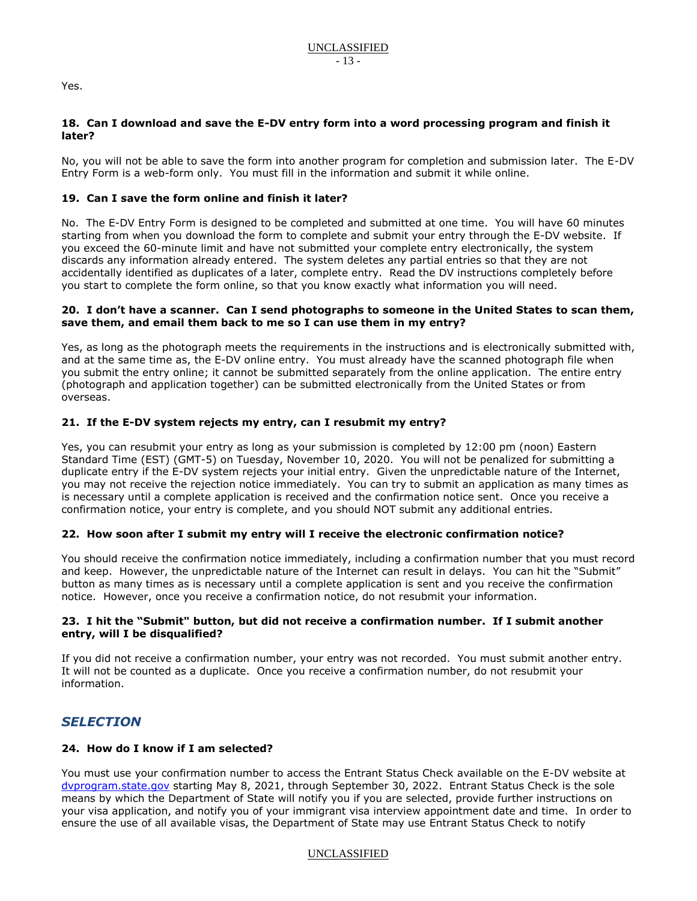Yes.

#### **18. Can I download and save the E-DV entry form into a word processing program and finish it later?**

No, you will not be able to save the form into another program for completion and submission later. The E-DV Entry Form is a web-form only. You must fill in the information and submit it while online.

#### **19. Can I save the form online and finish it later?**

No. The E-DV Entry Form is designed to be completed and submitted at one time. You will have 60 minutes starting from when you download the form to complete and submit your entry through the E-DV website. If you exceed the 60-minute limit and have not submitted your complete entry electronically, the system discards any information already entered. The system deletes any partial entries so that they are not accidentally identified as duplicates of a later, complete entry. Read the DV instructions completely before you start to complete the form online, so that you know exactly what information you will need.

#### **20. I don't have a scanner. Can I send photographs to someone in the United States to scan them, save them, and email them back to me so I can use them in my entry?**

Yes, as long as the photograph meets the requirements in the instructions and is electronically submitted with, and at the same time as, the E-DV online entry. You must already have the scanned photograph file when you submit the entry online; it cannot be submitted separately from the online application. The entire entry (photograph and application together) can be submitted electronically from the United States or from overseas.

#### **21. If the E-DV system rejects my entry, can I resubmit my entry?**

Yes, you can resubmit your entry as long as your submission is completed by 12:00 pm (noon) Eastern Standard Time (EST) (GMT-5) on Tuesday, November 10, 2020. You will not be penalized for submitting a duplicate entry if the E-DV system rejects your initial entry. Given the unpredictable nature of the Internet, you may not receive the rejection notice immediately. You can try to submit an application as many times as is necessary until a complete application is received and the confirmation notice sent. Once you receive a confirmation notice, your entry is complete, and you should NOT submit any additional entries.

#### **22. How soon after I submit my entry will I receive the electronic confirmation notice?**

You should receive the confirmation notice immediately, including a confirmation number that you must record and keep. However, the unpredictable nature of the Internet can result in delays. You can hit the "Submit" button as many times as is necessary until a complete application is sent and you receive the confirmation notice. However, once you receive a confirmation notice, do not resubmit your information.

#### **23. I hit the "Submit" button, but did not receive a confirmation number. If I submit another entry, will I be disqualified?**

If you did not receive a confirmation number, your entry was not recorded. You must submit another entry. It will not be counted as a duplicate. Once you receive a confirmation number, do not resubmit your information.

### <span id="page-12-0"></span>*SELECTION*

#### **24. How do I know if I am selected?**

You must use your confirmation number to access the Entrant Status Check available on the E-DV website at [dvprogram.state.gov](http://dvlottery.state.gov/) starting May 8, 2021, through September 30, 2022. Entrant Status Check is the sole means by which the Department of State will notify you if you are selected, provide further instructions on your visa application, and notify you of your immigrant visa interview appointment date and time. In order to ensure the use of all available visas, the Department of State may use Entrant Status Check to notify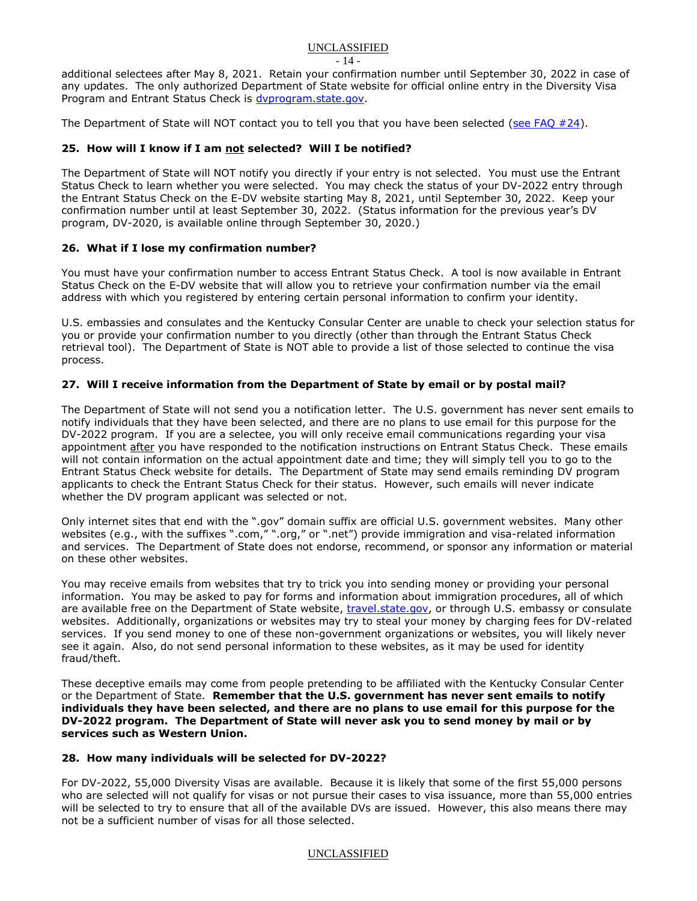#### - 14 -

additional selectees after May 8, 2021. Retain your confirmation number until September 30, 2022 in case of any updates. The only authorized Department of State website for official online entry in the Diversity Visa Program and Entrant Status Check is [dvprogram.state.gov.](http://dvlottery.state.gov/)

The Department of State will NOT contact you to tell you that you have been selected [\(see FAQ #24\)](#page-13-0).

#### <span id="page-13-0"></span>**25. How will I know if I am not selected? Will I be notified?**

The Department of State will NOT notify you directly if your entry is not selected. You must use the Entrant Status Check to learn whether you were selected. You may check the status of your DV-2022 entry through the Entrant Status Check on the E-DV website starting May 8, 2021, until September 30, 2022. Keep your confirmation number until at least September 30, 2022. (Status information for the previous year's DV program, DV-2020, is available online through September 30, 2020.)

#### **26. What if I lose my confirmation number?**

You must have your confirmation number to access Entrant Status Check. A tool is now available in Entrant Status Check on the E-DV website that will allow you to retrieve your confirmation number via the email address with which you registered by entering certain personal information to confirm your identity.

U.S. embassies and consulates and the Kentucky Consular Center are unable to check your selection status for you or provide your confirmation number to you directly (other than through the Entrant Status Check retrieval tool). The Department of State is NOT able to provide a list of those selected to continue the visa process.

#### **27. Will I receive information from the Department of State by email or by postal mail?**

The Department of State will not send you a notification letter. The U.S. government has never sent emails to notify individuals that they have been selected, and there are no plans to use email for this purpose for the DV-2022 program. If you are a selectee, you will only receive email communications regarding your visa appointment after you have responded to the notification instructions on Entrant Status Check. These emails will not contain information on the actual appointment date and time; they will simply tell you to go to the Entrant Status Check website for details. The Department of State may send emails reminding DV program applicants to check the Entrant Status Check for their status. However, such emails will never indicate whether the DV program applicant was selected or not.

Only internet sites that end with the ".gov" domain suffix are official U.S. government websites. Many other websites (e.g., with the suffixes ".com," ".org," or ".net") provide immigration and visa-related information and services. The Department of State does not endorse, recommend, or sponsor any information or material on these other websites.

You may receive emails from websites that try to trick you into sending money or providing your personal information. You may be asked to pay for forms and information about immigration procedures, all of which are available free on the Department of State website, [travel.state.gov,](https://travel.state.gov/content/visas/en.html) or through U.S. embassy or consulate websites. Additionally, organizations or websites may try to steal your money by charging fees for DV-related services. If you send money to one of these non-government organizations or websites, you will likely never see it again. Also, do not send personal information to these websites, as it may be used for identity fraud/theft.

These deceptive emails may come from people pretending to be affiliated with the Kentucky Consular Center or the Department of State. **Remember that the U.S. government has never sent emails to notify individuals they have been selected, and there are no plans to use email for this purpose for the DV-2022 program. The Department of State will never ask you to send money by mail or by services such as Western Union.**

#### **28. How many individuals will be selected for DV-2022?**

For DV-2022, 55,000 Diversity Visas are available. Because it is likely that some of the first 55,000 persons who are selected will not qualify for visas or not pursue their cases to visa issuance, more than 55,000 entries will be selected to try to ensure that all of the available DVs are issued. However, this also means there may not be a sufficient number of visas for all those selected.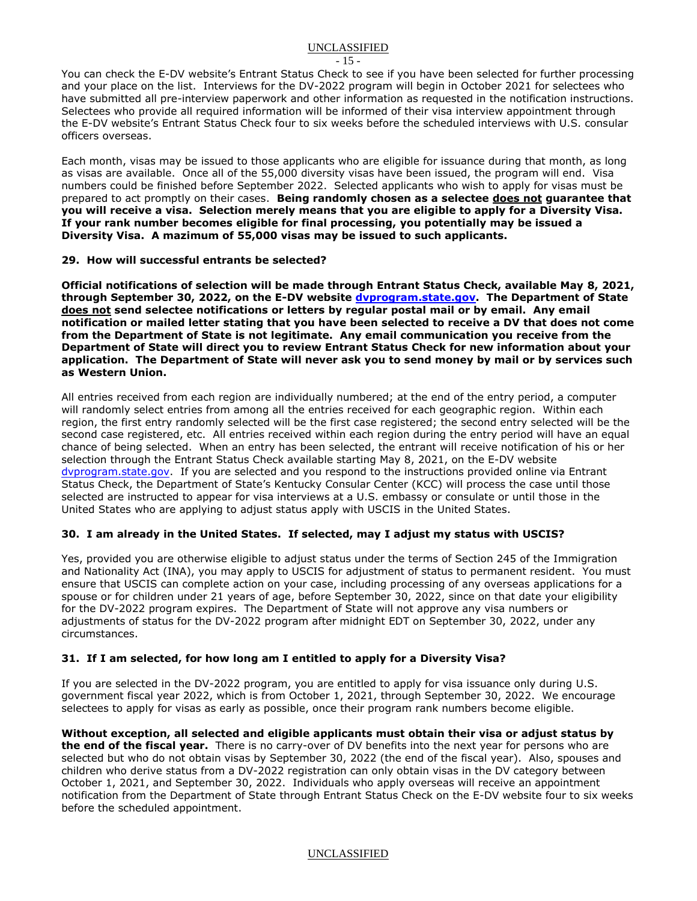- 15 -

You can check the E-DV website's Entrant Status Check to see if you have been selected for further processing and your place on the list. Interviews for the DV-2022 program will begin in October 2021 for selectees who have submitted all pre-interview paperwork and other information as requested in the notification instructions. Selectees who provide all required information will be informed of their visa interview appointment through the E-DV website's Entrant Status Check four to six weeks before the scheduled interviews with U.S. consular officers overseas.

Each month, visas may be issued to those applicants who are eligible for issuance during that month, as long as visas are available. Once all of the 55,000 diversity visas have been issued, the program will end. Visa numbers could be finished before September 2022. Selected applicants who wish to apply for visas must be prepared to act promptly on their cases. **Being randomly chosen as a selectee does not guarantee that you will receive a visa. Selection merely means that you are eligible to apply for a Diversity Visa. If your rank number becomes eligible for final processing, you potentially may be issued a Diversity Visa. A mazimum of 55,000 visas may be issued to such applicants.**

#### **29. How will successful entrants be selected?**

**Official notifications of selection will be made through Entrant Status Check, available May 8, 2021, through September 30, 2022, on the E-DV website [dvprogram.state.gov.](http://dvlottery.state.gov/) The Department of State does not send selectee notifications or letters by regular postal mail or by email. Any email notification or mailed letter stating that you have been selected to receive a DV that does not come from the Department of State is not legitimate. Any email communication you receive from the Department of State will direct you to review Entrant Status Check for new information about your application. The Department of State will never ask you to send money by mail or by services such as Western Union.**

All entries received from each region are individually numbered; at the end of the entry period, a computer will randomly select entries from among all the entries received for each geographic region. Within each region, the first entry randomly selected will be the first case registered; the second entry selected will be the second case registered, etc. All entries received within each region during the entry period will have an equal chance of being selected. When an entry has been selected, the entrant will receive notification of his or her selection through the Entrant Status Check available starting May 8, 2021, on the E-DV website [dvprogram.state.gov.](http://dvlottery.state.gov/) If you are selected and you respond to the instructions provided online via Entrant Status Check, the Department of State's Kentucky Consular Center (KCC) will process the case until those selected are instructed to appear for visa interviews at a U.S. embassy or consulate or until those in the United States who are applying to adjust status apply with USCIS in the United States.

#### **30. I am already in the United States. If selected, may I adjust my status with USCIS?**

Yes, provided you are otherwise eligible to adjust status under the terms of Section 245 of the Immigration and Nationality Act (INA), you may apply to USCIS for adjustment of status to permanent resident. You must ensure that USCIS can complete action on your case, including processing of any overseas applications for a spouse or for children under 21 years of age, before September 30, 2022, since on that date your eligibility for the DV-2022 program expires. The Department of State will not approve any visa numbers or adjustments of status for the DV-2022 program after midnight EDT on September 30, 2022, under any circumstances.

#### **31. If I am selected, for how long am I entitled to apply for a Diversity Visa?**

If you are selected in the DV-2022 program, you are entitled to apply for visa issuance only during U.S. government fiscal year 2022, which is from October 1, 2021, through September 30, 2022. We encourage selectees to apply for visas as early as possible, once their program rank numbers become eligible.

**Without exception, all selected and eligible applicants must obtain their visa or adjust status by the end of the fiscal year.** There is no carry-over of DV benefits into the next year for persons who are selected but who do not obtain visas by September 30, 2022 (the end of the fiscal year). Also, spouses and children who derive status from a DV-2022 registration can only obtain visas in the DV category between October 1, 2021, and September 30, 2022. Individuals who apply overseas will receive an appointment notification from the Department of State through Entrant Status Check on the E-DV website four to six weeks before the scheduled appointment.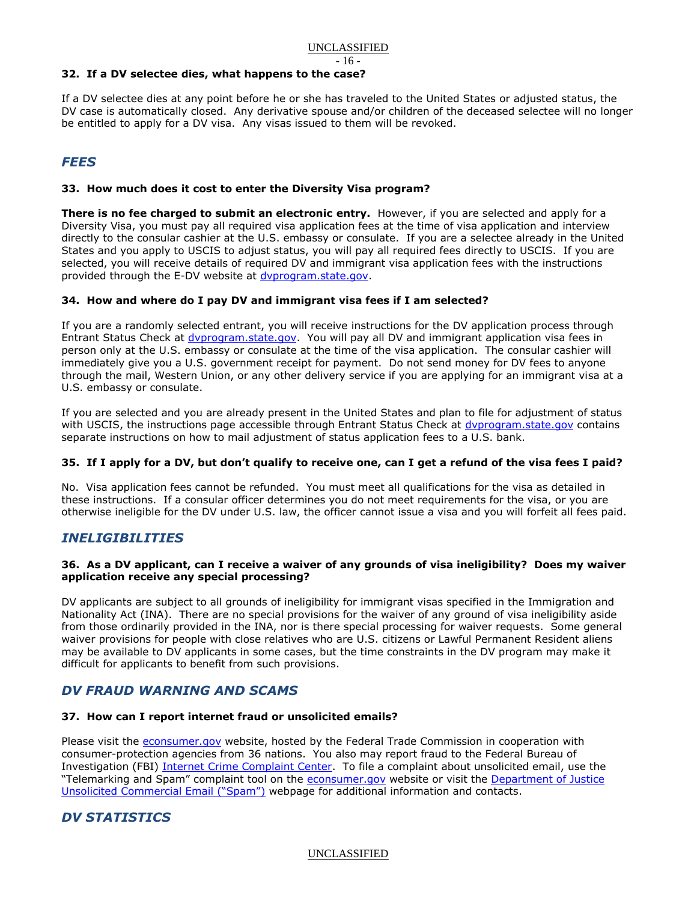$-16 -$ 

#### **32. If a DV selectee dies, what happens to the case?**

If a DV selectee dies at any point before he or she has traveled to the United States or adjusted status, the DV case is automatically closed. Any derivative spouse and/or children of the deceased selectee will no longer be entitled to apply for a DV visa. Any visas issued to them will be revoked.

## *FEES*

#### **33. How much does it cost to enter the Diversity Visa program?**

**There is no fee charged to submit an electronic entry.** However, if you are selected and apply for a Diversity Visa, you must pay all required visa application fees at the time of visa application and interview directly to the consular cashier at the U.S. embassy or consulate. If you are a selectee already in the United States and you apply to USCIS to adjust status, you will pay all required fees directly to USCIS. If you are selected, you will receive details of required DV and immigrant visa application fees with the instructions provided through the E-DV website at [dvprogram.state.gov.](http://dvlottery.state.gov/)

#### **34. How and where do I pay DV and immigrant visa fees if I am selected?**

If you are a randomly selected entrant, you will receive instructions for the DV application process through Entrant Status Check at [dvprogram.state.gov.](http://dvlottery.state.gov/) You will pay all DV and immigrant application visa fees in person only at the U.S. embassy or consulate at the time of the visa application. The consular cashier will immediately give you a U.S. government receipt for payment. Do not send money for DV fees to anyone through the mail, Western Union, or any other delivery service if you are applying for an immigrant visa at a U.S. embassy or consulate.

If you are selected and you are already present in the United States and plan to file for adjustment of status with USCIS, the instructions page accessible through Entrant Status Check at *dvprogram.state.gov* contains separate instructions on how to mail adjustment of status application fees to a U.S. bank.

#### **35. If I apply for a DV, but don't qualify to receive one, can I get a refund of the visa fees I paid?**

No. Visa application fees cannot be refunded. You must meet all qualifications for the visa as detailed in these instructions. If a consular officer determines you do not meet requirements for the visa, or you are otherwise ineligible for the DV under U.S. law, the officer cannot issue a visa and you will forfeit all fees paid.

### *INELIGIBILITIES*

#### **36. As a DV applicant, can I receive a waiver of any grounds of visa ineligibility? Does my waiver application receive any special processing?**

DV applicants are subject to all grounds of ineligibility for immigrant visas specified in the Immigration and Nationality Act (INA).There are no special provisions for the waiver of any ground of visa ineligibility aside from those ordinarily provided in the INA, nor is there special processing for waiver requests. Some general waiver provisions for people with close relatives who are U.S. citizens or Lawful Permanent Resident aliens may be available to DV applicants in some cases, but the time constraints in the DV program may make it difficult for applicants to benefit from such provisions.

### <span id="page-15-0"></span>*DV FRAUD WARNING AND SCAMS*

#### **37. How can I report internet fraud or unsolicited emails?**

Please visit the [econsumer.gov](http://econsumer.gov/) website, hosted by the Federal Trade Commission in cooperation with consumer-protection agencies from 36 nations. You also may report fraud to the Federal Bureau of Investigation (FBI) [Internet Crime Complaint Center.](http://www.ic3.gov/) To file a complaint about unsolicited email, use the "Telemarking and Spam" complaint tool on the [econsumer.gov](http://econsumer.gov/) website or visit the [Department of Justice](https://www.justice.gov/doj/spam) [Unsolicited Commercial Email \("Spam"](https://www.justice.gov/doj/spam)) webpage for additional information and contacts.

## *DV STATISTICS*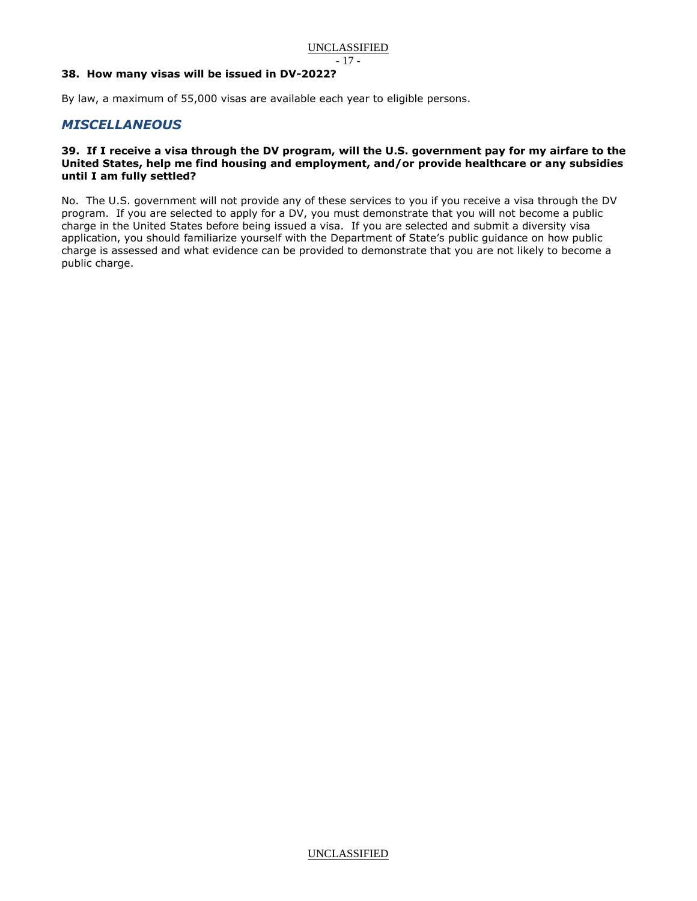- 17 -

#### **38. How many visas will be issued in DV-2022?**

By law, a maximum of 55,000 visas are available each year to eligible persons.

### *MISCELLANEOUS*

#### **39. If I receive a visa through the DV program, will the U.S. government pay for my airfare to the United States, help me find housing and employment, and/or provide healthcare or any subsidies until I am fully settled?**

No. The U.S. government will not provide any of these services to you if you receive a visa through the DV program. If you are selected to apply for a DV, you must demonstrate that you will not become a public charge in the United States before being issued a visa. If you are selected and submit a diversity visa application, you should familiarize yourself with the Department of State's public guidance on how public charge is assessed and what evidence can be provided to demonstrate that you are not likely to become a public charge.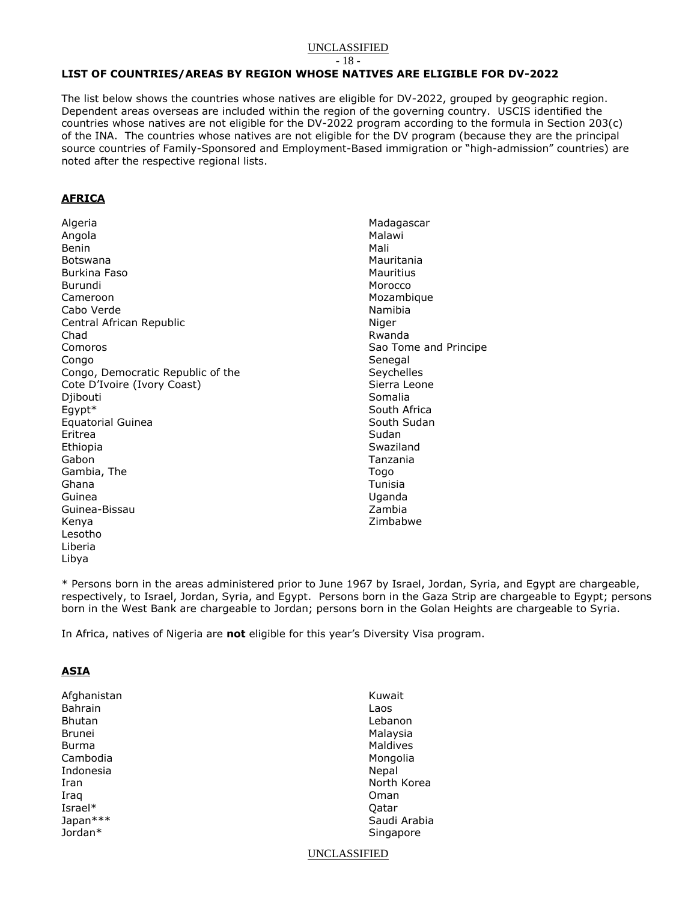- 18 -

#### <span id="page-17-0"></span>**LIST OF COUNTRIES/AREAS BY REGION WHOSE NATIVES ARE ELIGIBLE FOR DV-2022**

The list below shows the countries whose natives are eligible for DV-2022, grouped by geographic region. Dependent areas overseas are included within the region of the governing country. USCIS identified the countries whose natives are not eligible for the DV-2022 program according to the formula in Section 203(c) of the INA. The countries whose natives are not eligible for the DV program (because they are the principal source countries of Family-Sponsored and Employment-Based immigration or "high-admission" countries) are noted after the respective regional lists.

#### **AFRICA**

Algeria Angola Benin Botswana Burkina Faso Burundi Cameroon Cabo Verde Central African Republic Chad Comoros **Congo** Congo, Democratic Republic of the Cote D'Ivoire (Ivory Coast) Diibouti Egypt\* Equatorial Guinea Eritrea Ethiopia Gabon Gambia, The Ghana Guinea Guinea-Bissau Kenya Lesotho Liberia Libya

Madagascar Malawi Mali Mauritania Mauritius Morocco Mozambique Namibia Niger Rwanda Sao Tome and Principe Senegal **Sevchelles** Sierra Leone Somalia South Africa South Sudan Sudan Swaziland Tanzania Togo Tunisia Uganda Zambia Zimbabwe

\* Persons born in the areas administered prior to June 1967 by Israel, Jordan, Syria, and Egypt are chargeable, respectively, to Israel, Jordan, Syria, and Egypt. Persons born in the Gaza Strip are chargeable to Egypt; persons born in the West Bank are chargeable to Jordan; persons born in the Golan Heights are chargeable to Syria.

In Africa, natives of Nigeria are **not** eligible for this year's Diversity Visa program.

#### **ASIA**

| Kuwait<br>Laos<br>Lebanon<br>Malaysia<br>Maldives<br>Mongolia<br>Nepal<br>North Korea<br>Oman<br>Oatar |
|--------------------------------------------------------------------------------------------------------|
| Saudi Arabia<br>Singapore                                                                              |
|                                                                                                        |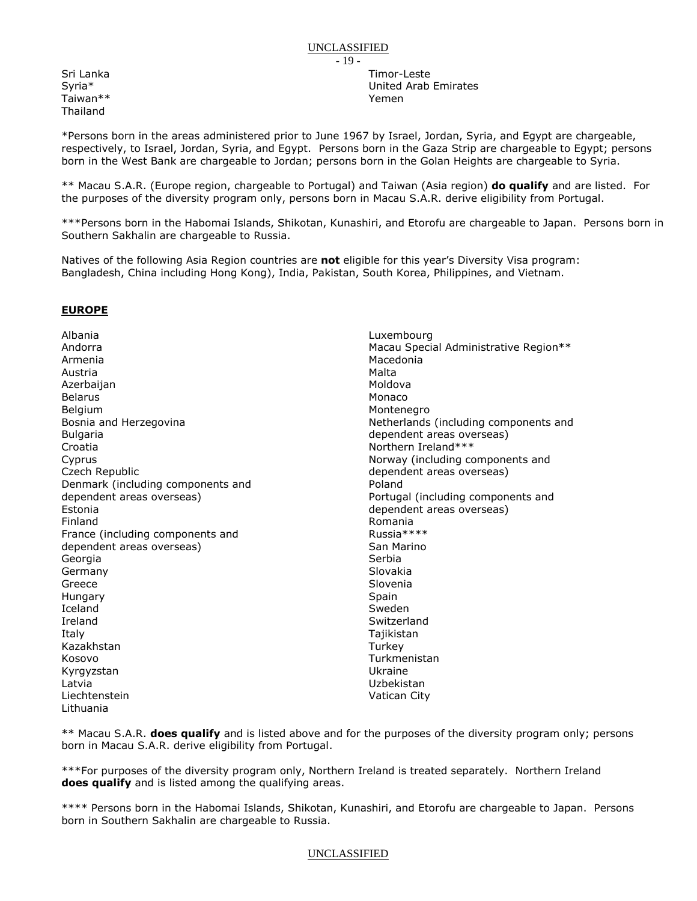Sri Lanka Syria\* Taiwan\*\* Thailand

Timor-Leste United Arab Emirates Yemen

\*Persons born in the areas administered prior to June 1967 by Israel, Jordan, Syria, and Egypt are chargeable, respectively, to Israel, Jordan, Syria, and Egypt. Persons born in the Gaza Strip are chargeable to Egypt; persons born in the West Bank are chargeable to Jordan; persons born in the Golan Heights are chargeable to Syria.

\*\* Macau S.A.R. (Europe region, chargeable to Portugal) and Taiwan (Asia region) **do qualify** and are listed. For the purposes of the diversity program only, persons born in Macau S.A.R. derive eligibility from Portugal.

\*\*\*Persons born in the Habomai Islands, Shikotan, Kunashiri, and Etorofu are chargeable to Japan. Persons born in Southern Sakhalin are chargeable to Russia.

Natives of the following Asia Region countries are **not** eligible for this year's Diversity Visa program: Bangladesh, China including Hong Kong), India, Pakistan, South Korea, Philippines, and Vietnam.

#### **EUROPE**

Albania Andorra Armenia Austria **Azerbaijan** Belarus Belgium Bosnia and Herzegovina **Bulgaria** Croatia Cyprus Czech Republic Denmark (including components and dependent areas overseas) Estonia Finland France (including components and dependent areas overseas) Georgia Germany Greece Hungary Iceland Ireland Italy Kazakhstan Kosovo Kyrgyzstan Latvia Liechtenstein Lithuania

Luxembourg Macau Special Administrative Region\*\* Macedonia Malta Moldova Monaco Montenegro Netherlands (including components and dependent areas overseas) Northern Ireland\*\*\* Norway (including components and dependent areas overseas) Poland Portugal (including components and dependent areas overseas) Romania Russia\*\*\*\* San Marino Serbia Slovakia Slovenia **Spain** Sweden Switzerland Tajikistan **Turkey** Turkmenistan Ukraine Uzbekistan Vatican City

\*\* Macau S.A.R. **does qualify** and is listed above and for the purposes of the diversity program only; persons born in Macau S.A.R. derive eligibility from Portugal.

\*\*\*For purposes of the diversity program only, Northern Ireland is treated separately. Northern Ireland **does qualify** and is listed among the qualifying areas.

\*\*\*\* Persons born in the Habomai Islands, Shikotan, Kunashiri, and Etorofu are chargeable to Japan. Persons born in Southern Sakhalin are chargeable to Russia.